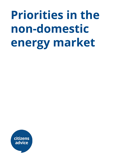## **Priorities in the non-domestic energy market**

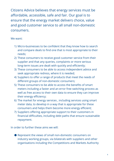Citizens Advice believes that energy services must be affordable, accessible, safe and fair. Our goal is to ensure that the energy market delivers choice, value and good customer service to all small non-domestic consumers.

## We want:

- 1) Micro-businesses to be confident that they know how to search and compare deals to find one that is most appropriate to their needs;
- 2) These consumers to receive good customer service from their supplier and that any queries, complaints or more serious long-term issues are dealt with quickly and efficiently;
- 3) These consumers to be able to access independent advice and seek appropriate redress, where it is needed;
- 4) Suppliers to offer a range of products that meet the needs of different groups of non-domestic consumers;
- 5) These consumers to be able to access the benefits of smart meters including a faster and an error free switching process as well as free access to their own data to ensure they can improve their energy efficiency;
- 6) The market for energy services , including services using smart meter data, to develop in a way that is appropriate for these consumers and helps them become more energy efficient;
- 7) Suppliers offering appropriate support to their customers in financial difficulties, including debt paths that ensure sustainable repayment.

In order to further these aims we will:

● Represent the views of small non-domestic consumers on industry working groups, via bilaterals with suppliers and other organisations including the Competitions and Markets Authority